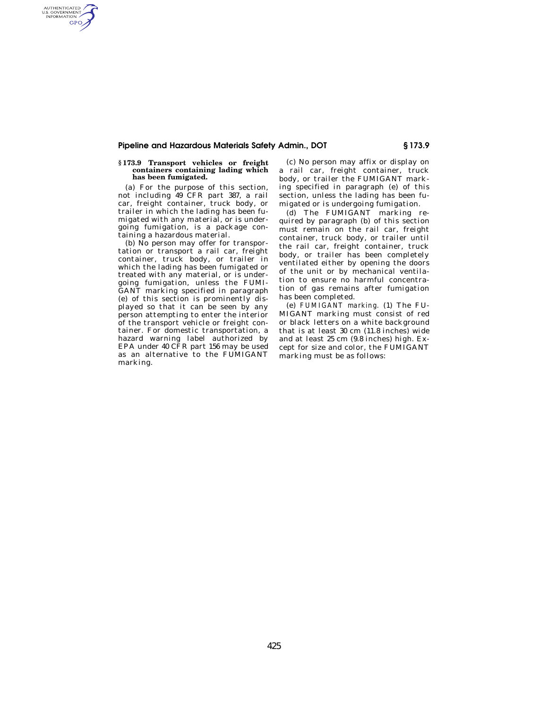## **Pipeline and Hazardous Materials Safety Admin., DOT § 173.9**

## **§ 173.9 Transport vehicles or freight containers containing lading which has been fumigated.**

AUTHENTICATED<br>U.S. GOVERNMENT<br>INFORMATION **GPO** 

> (a) For the purpose of this section, not including 49 CFR part 387, a rail car, freight container, truck body, or trailer in which the lading has been fumigated with any material, or is undergoing fumigation, is a package containing a hazardous material.

> (b) No person may offer for transportation or transport a rail car, freight container, truck body, or trailer in which the lading has been fumigated or treated with any material, or is undergoing fumigation, unless the FUMI-GANT marking specified in paragraph (e) of this section is prominently displayed so that it can be seen by any person attempting to enter the interior of the transport vehicle or freight container. For domestic transportation, a hazard warning label authorized by EPA under 40 CFR part 156 may be used as an alternative to the FUMIGANT marking.

(c) No person may affix or display on a rail car, freight container, truck body, or trailer the FUMIGANT marking specified in paragraph (e) of this section, unless the lading has been fumigated or is undergoing fumigation.

(d) The FUMIGANT marking required by paragraph (b) of this section must remain on the rail car, freight container, truck body, or trailer until the rail car, freight container, truck body, or trailer has been completely ventilated either by opening the doors of the unit or by mechanical ventilation to ensure no harmful concentration of gas remains after fumigation has been completed.

(e) *FUMIGANT marking.* (1) The FU-MIGANT marking must consist of red or black letters on a white background that is at least 30 cm (11.8 inches) wide and at least 25 cm (9.8 inches) high. Except for size and color, the FUMIGANT marking must be as follows: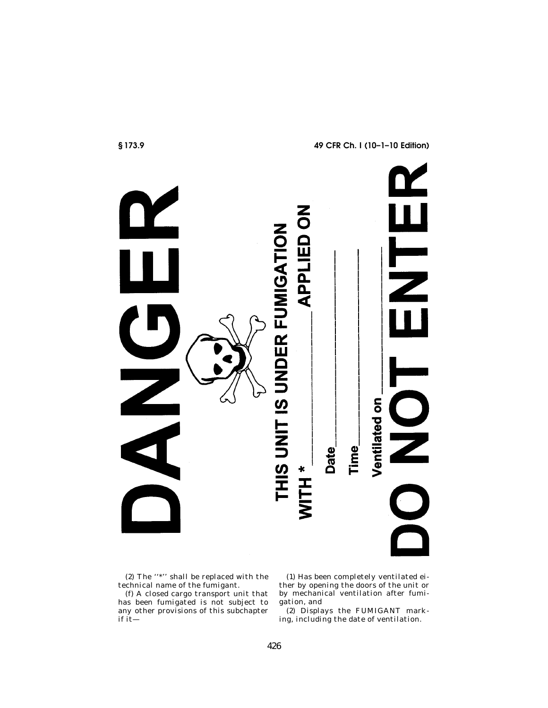

(2) The ''\*'' shall be replaced with the technical name of the fumigant.

(f) A closed cargo transport unit that has been fumigated is not subject to any other provisions of this subchapter if it—

(1) Has been completely ventilated either by opening the doors of the unit or by mechanical ventilation after fumigation, and

(2) Displays the FUMIGANT marking, including the date of ventilation.